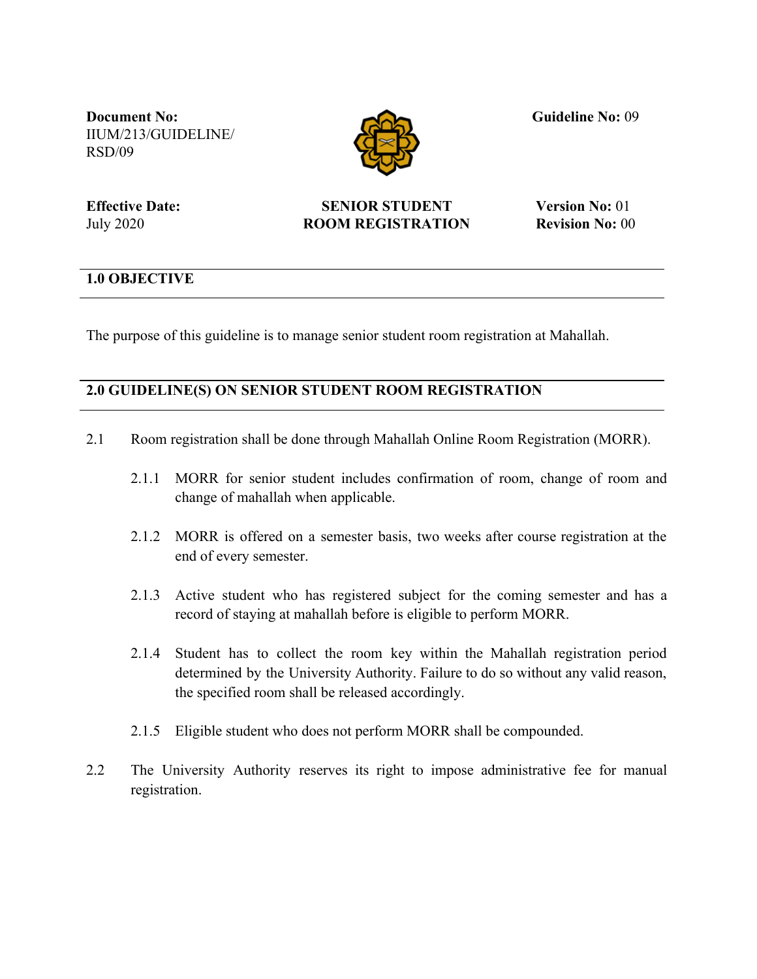**Document No:** IIUM/213/GUIDELINE/ RSD/09



**Guideline No:** 09

**Effective Date:** July 2020

## **SENIOR STUDENT ROOM REGISTRATION**

**Version No:** 01 **Revision No:** 00

## **1.0 OBJECTIVE**

The purpose of this guideline is to manage senior student room registration at Mahallah.

## **2.0 GUIDELINE(S) ON SENIOR STUDENT ROOM REGISTRATION**

- 2.1 Room registration shall be done through Mahallah Online Room Registration (MORR).
	- 2.1.1 MORR for senior student includes confirmation of room, change of room and change of mahallah when applicable.
	- 2.1.2 MORR is offered on a semester basis, two weeks after course registration at the end of every semester.
	- 2.1.3 Active student who has registered subject for the coming semester and has a record of staying at mahallah before is eligible to perform MORR.
	- 2.1.4 Student has to collect the room key within the Mahallah registration period determined by the University Authority. Failure to do so without any valid reason, the specified room shall be released accordingly.
	- 2.1.5 Eligible student who does not perform MORR shall be compounded.
- 2.2 The University Authority reserves its right to impose administrative fee for manual registration.